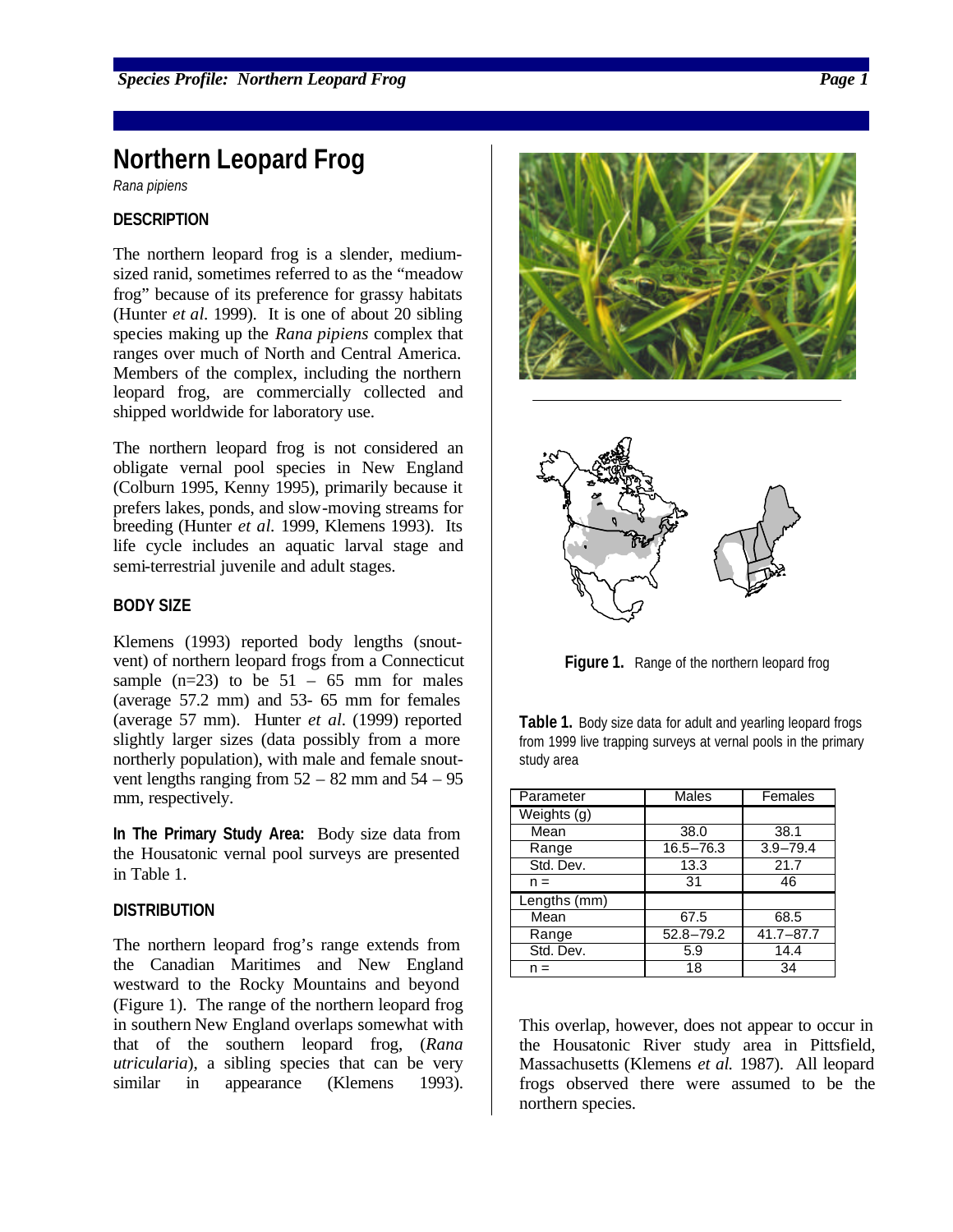# **Northern Leopard Frog**

*Rana pipiens*

#### **DESCRIPTION**

The northern leopard frog is a slender, mediumsized ranid, sometimes referred to as the "meadow frog" because of its preference for grassy habitats (Hunter *et al.* 1999). It is one of about 20 sibling species making up the *Rana pipiens* complex that ranges over much of North and Central America. Members of the complex, including the northern leopard frog, are commercially collected and shipped worldwide for laboratory use.

The northern leopard frog is not considered an obligate vernal pool species in New England (Colburn 1995, Kenny 1995), primarily because it prefers lakes, ponds, and slow-moving streams for breeding (Hunter *et al.* 1999, Klemens 1993). Its life cycle includes an aquatic larval stage and semi-terrestrial juvenile and adult stages.

#### **BODY SIZE**

Klemens (1993) reported body lengths (snoutvent) of northern leopard frogs from a Connecticut sample  $(n=23)$  to be  $51 - 65$  mm for males (average 57.2 mm) and 53- 65 mm for females (average 57 mm). Hunter *et al.* (1999) reported slightly larger sizes (data possibly from a more northerly population), with male and female snoutvent lengths ranging from  $52 - 82$  mm and  $54 - 95$ mm, respectively.

**In The Primary Study Area:** Body size data from the Housatonic vernal pool surveys are presented in Table 1.

#### **DISTRIBUTION**

The northern leopard frog's range extends from the Canadian Maritimes and New England westward to the Rocky Mountains and beyond (Figure 1). The range of the northern leopard frog in southern New England overlaps somewhat with that of the southern leopard frog, (*Rana utricularia*), a sibling species that can be very similar in appearance (Klemens 1993).





**Figure 1.** Range of the northern leopard frog

**Table 1.** Body size data for adult and yearling leopard frogs from 1999 live trapping surveys at vernal pools in the primary study area

| Parameter        | Males         | Females       |  |  |  |  |
|------------------|---------------|---------------|--|--|--|--|
| $W$ eights $(g)$ |               |               |  |  |  |  |
| Mean             | 38.0          | 38.1          |  |  |  |  |
| Range            | $16.5 - 76.3$ | $3.9 - 79.4$  |  |  |  |  |
| Std. Dev.        | 13.3          | 21.7          |  |  |  |  |
| $n =$            | 31            | 46            |  |  |  |  |
| Lengths $(mm)$   |               |               |  |  |  |  |
| Mean             | 67.5          | 68.5          |  |  |  |  |
| Range            | $52.8 - 79.2$ | $41.7 - 87.7$ |  |  |  |  |
| Std. Dev.        | 5.9           | 14.4          |  |  |  |  |
| $n =$            | 18            | 34            |  |  |  |  |

This overlap, however, does not appear to occur in the Housatonic River study area in Pittsfield, Massachusetts (Klemens *et al.* 1987). All leopard frogs observed there were assumed to be the northern species.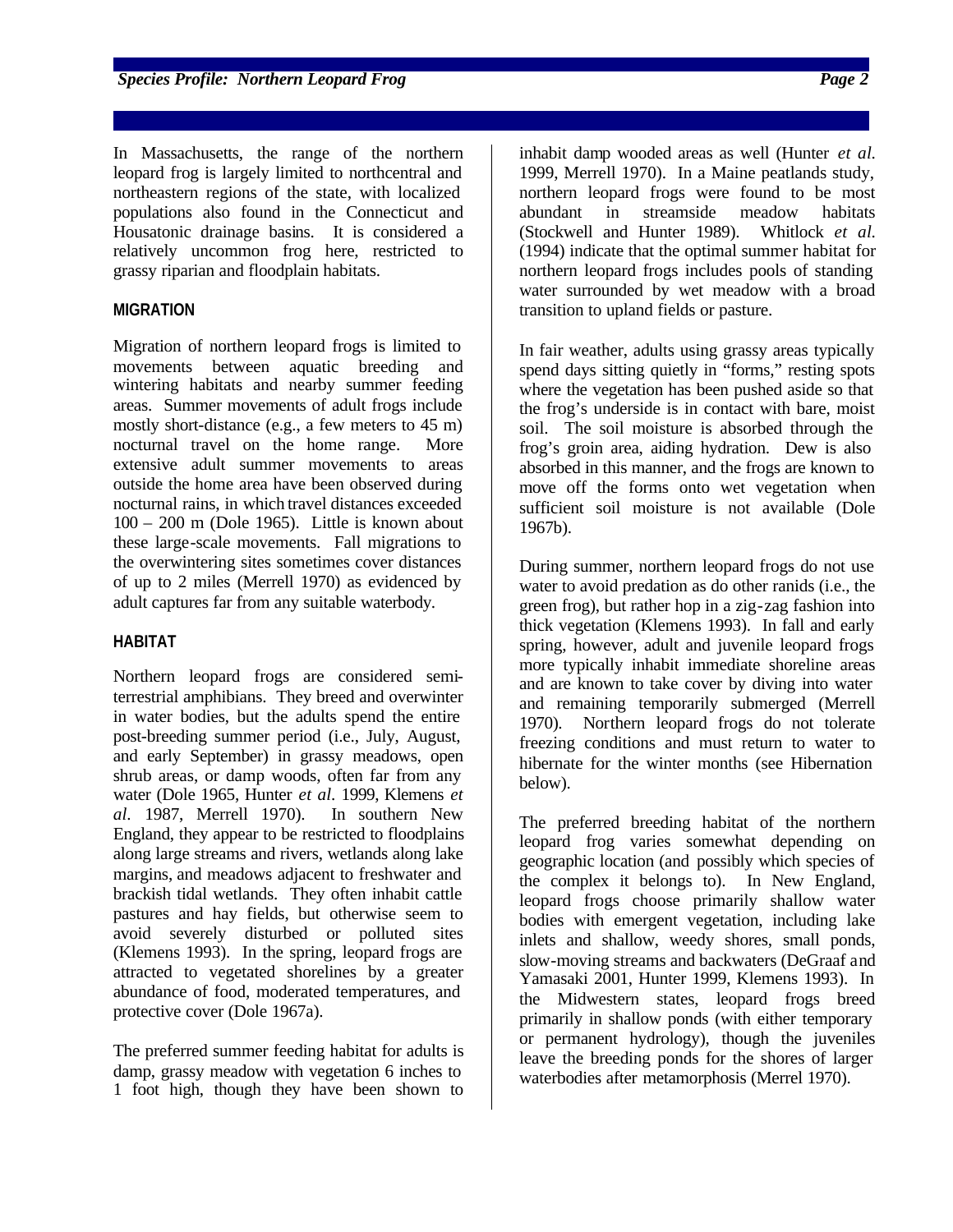*Species Profile: Northern Leopard Frog Page 2*

In Massachusetts, the range of the northern leopard frog is largely limited to northcentral and northeastern regions of the state, with localized populations also found in the Connecticut and Housatonic drainage basins. It is considered a relatively uncommon frog here, restricted to grassy riparian and floodplain habitats.

# **MIGRATION**

Migration of northern leopard frogs is limited to movements between aquatic breeding and wintering habitats and nearby summer feeding areas. Summer movements of adult frogs include mostly short-distance (e.g., a few meters to 45 m) nocturnal travel on the home range. More extensive adult summer movements to areas outside the home area have been observed during nocturnal rains, in which travel distances exceeded 100 – 200 m (Dole 1965). Little is known about these large-scale movements. Fall migrations to the overwintering sites sometimes cover distances of up to 2 miles (Merrell 1970) as evidenced by adult captures far from any suitable waterbody.

## **HABITAT**

Northern leopard frogs are considered semiterrestrial amphibians. They breed and overwinter in water bodies, but the adults spend the entire post-breeding summer period (i.e., July, August, and early September) in grassy meadows, open shrub areas, or damp woods, often far from any water (Dole 1965, Hunter *et al.* 1999, Klemens *et al.* 1987, Merrell 1970). In southern New England, they appear to be restricted to floodplains along large streams and rivers, wetlands along lake margins, and meadows adjacent to freshwater and brackish tidal wetlands. They often inhabit cattle pastures and hay fields, but otherwise seem to avoid severely disturbed or polluted sites (Klemens 1993). In the spring, leopard frogs are attracted to vegetated shorelines by a greater abundance of food, moderated temperatures, and protective cover (Dole 1967a).

The preferred summer feeding habitat for adults is damp, grassy meadow with vegetation 6 inches to 1 foot high, though they have been shown to inhabit damp wooded areas as well (Hunter *et al.* 1999, Merrell 1970). In a Maine peatlands study, northern leopard frogs were found to be most abundant in streamside meadow habitats (Stockwell and Hunter 1989). Whitlock *et al.* (1994) indicate that the optimal summer habitat for northern leopard frogs includes pools of standing water surrounded by wet meadow with a broad transition to upland fields or pasture.

In fair weather, adults using grassy areas typically spend days sitting quietly in "forms," resting spots where the vegetation has been pushed aside so that the frog's underside is in contact with bare, moist soil. The soil moisture is absorbed through the frog's groin area, aiding hydration. Dew is also absorbed in this manner, and the frogs are known to move off the forms onto wet vegetation when sufficient soil moisture is not available (Dole 1967b).

During summer, northern leopard frogs do not use water to avoid predation as do other ranids (i.e., the green frog), but rather hop in a zig-zag fashion into thick vegetation (Klemens 1993). In fall and early spring, however, adult and juvenile leopard frogs more typically inhabit immediate shoreline areas and are known to take cover by diving into water and remaining temporarily submerged (Merrell 1970). Northern leopard frogs do not tolerate freezing conditions and must return to water to hibernate for the winter months (see Hibernation below).

The preferred breeding habitat of the northern leopard frog varies somewhat depending on geographic location (and possibly which species of the complex it belongs to). In New England, leopard frogs choose primarily shallow water bodies with emergent vegetation, including lake inlets and shallow, weedy shores, small ponds, slow-moving streams and backwaters (DeGraaf and Yamasaki 2001, Hunter 1999, Klemens 1993). In the Midwestern states, leopard frogs breed primarily in shallow ponds (with either temporary or permanent hydrology), though the juveniles leave the breeding ponds for the shores of larger waterbodies after metamorphosis (Merrel 1970).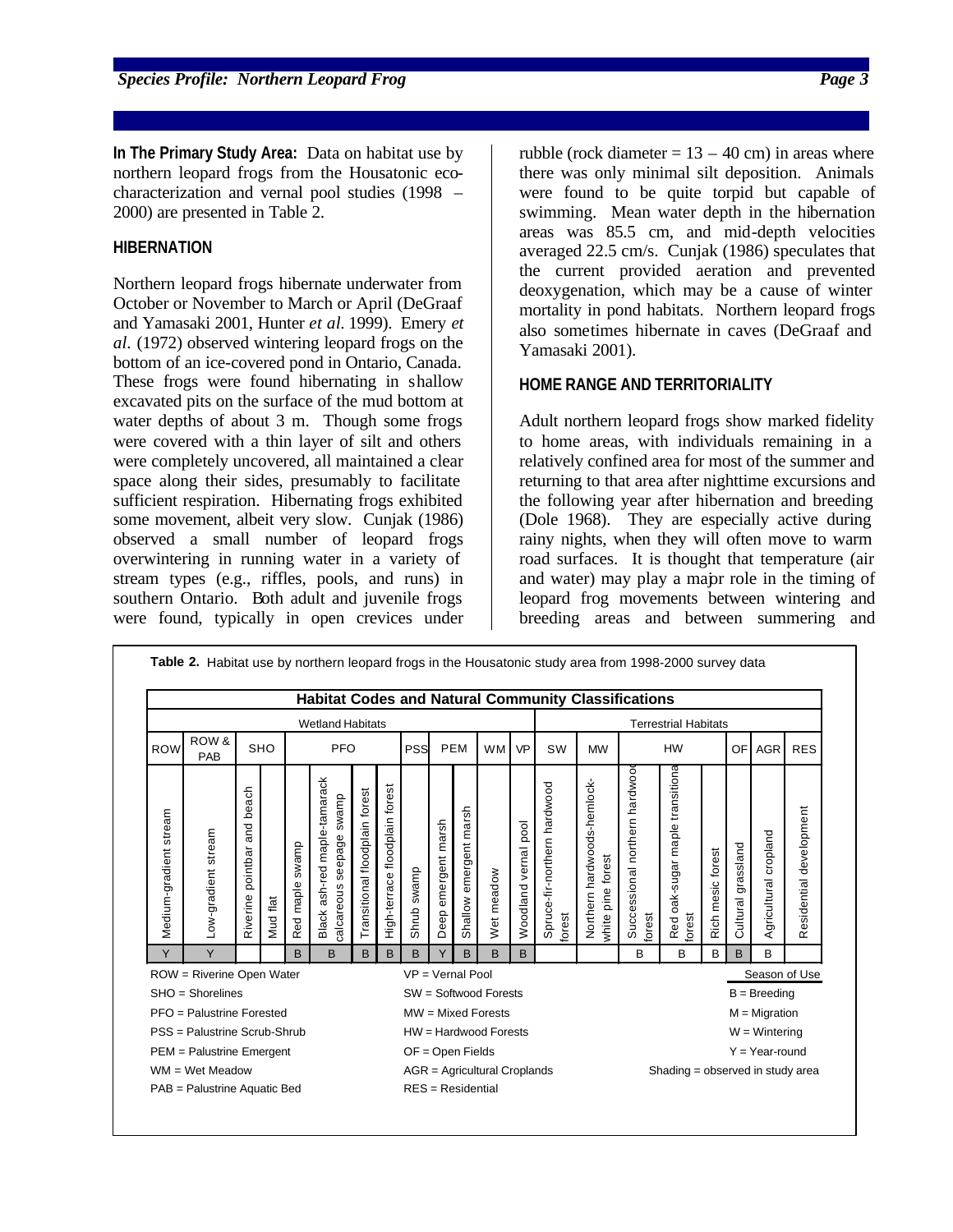**Species Profile: Northern Leopard Frog Page 3** 

**In The Primary Study Area:** Data on habitat use by northern leopard frogs from the Housatonic ecocharacterization and vernal pool studies (1998 – 2000) are presented in Table 2.

# **HIBERNATION**

Northern leopard frogs hibernate underwater from October or November to March or April (DeGraaf and Yamasaki 2001, Hunter *et al.* 1999). Emery *et al.* (1972) observed wintering leopard frogs on the bottom of an ice-covered pond in Ontario, Canada. These frogs were found hibernating in shallow excavated pits on the surface of the mud bottom at water depths of about 3 m. Though some frogs were covered with a thin layer of silt and others were completely uncovered, all maintained a clear space along their sides, presumably to facilitate sufficient respiration. Hibernating frogs exhibited some movement, albeit very slow. Cunjak (1986) observed a small number of leopard frogs overwintering in running water in a variety of stream types (e.g., riffles, pools, and runs) in southern Ontario. Both adult and juvenile frogs were found, typically in open crevices under rubble (rock diameter  $= 13 - 40$  cm) in areas where there was only minimal silt deposition. Animals were found to be quite torpid but capable of swimming. Mean water depth in the hibernation areas was 85.5 cm, and mid-depth velocities averaged 22.5 cm/s. Cunjak (1986) speculates that the current provided aeration and prevented deoxygenation, which may be a cause of winter mortality in pond habitats. Northern leopard frogs also sometimes hibernate in caves (DeGraaf and Yamasaki 2001).

# **HOME RANGE AND TERRITORIALITY**

Adult northern leopard frogs show marked fidelity to home areas, with individuals remaining in a relatively confined area for most of the summer and returning to that area after nighttime excursions and the following year after hibernation and breeding (Dole 1968). They are especially active during rainy nights, when they will often move to warm road surfaces. It is thought that temperature (air and water) may play a major role in the timing of leopard frog movements between wintering and breeding areas and between summering and

|                                                 |                     |                                      |            |                    | <b>Habitat Codes and Natural Community Classifications</b>        |                                |                                      |                                |                             |                           |            |                      |                                        |                                                  |                                         |                                                     |                   |                           |                       |                         |
|-------------------------------------------------|---------------------|--------------------------------------|------------|--------------------|-------------------------------------------------------------------|--------------------------------|--------------------------------------|--------------------------------|-----------------------------|---------------------------|------------|----------------------|----------------------------------------|--------------------------------------------------|-----------------------------------------|-----------------------------------------------------|-------------------|---------------------------|-----------------------|-------------------------|
| <b>Wetland Habitats</b>                         |                     |                                      |            |                    |                                                                   |                                |                                      |                                | <b>Terrestrial Habitats</b> |                           |            |                      |                                        |                                                  |                                         |                                                     |                   |                           |                       |                         |
| <b>ROW</b>                                      | ROW &<br>PAB        |                                      | <b>SHO</b> | <b>PFO</b>         |                                                                   | PEM<br>PSS                     |                                      | <b>WM</b>                      | <b>VP</b>                   | SW                        | <b>MW</b>  | <b>HW</b>            |                                        |                                                  | OF                                      | <b>AGR</b>                                          | <b>RES</b>        |                           |                       |                         |
| stream<br>Medium-gradient                       | Low-gradient stream | beach<br>and<br>pointbar<br>Riverine | Mud flat   | swamp<br>Red maple | ash-red maple-tamarack<br>swamp<br>seepage<br>calcareous<br>Black | Transitional floodplain forest | forest<br>floodplain<br>High-terrace | Shrub swamp                    | emergent marsh<br>Deep      | emergent marsh<br>Shallow | Wet meadow | Woodland vernal pool | Spruce-fir-northern hardwood<br>forest | Northern hardwoods-hemlock-<br>white pine forest | Successional northern hardwoo<br>forest | oak-sugar maple transitiona<br>forest<br><b>Red</b> | Rich mesic forest | ssland<br>gra<br>Cultural | Agricultural cropland | Residential development |
| Y                                               | Y                   |                                      |            | B                  | B                                                                 | B                              | B                                    | B                              | Y                           | B                         | B          | B                    |                                        |                                                  | B                                       | B                                                   | B                 | B                         | B                     |                         |
| ROW = Riverine Open Water<br>$VP = Vernal Pool$ |                     |                                      |            |                    |                                                                   |                                |                                      |                                |                             |                           |            |                      |                                        | Season of Use                                    |                                         |                                                     |                   |                           |                       |                         |
| $SHO =$ Shorelines                              |                     |                                      |            |                    |                                                                   |                                |                                      | SW = Softwood Forests          |                             |                           |            |                      |                                        |                                                  | $B = B$ reeding                         |                                                     |                   |                           |                       |                         |
| PFO = Palustrine Forested                       |                     |                                      |            |                    |                                                                   |                                |                                      | $MW = Mixed Forests$           |                             |                           |            |                      |                                        |                                                  | $M =$ Migration                         |                                                     |                   |                           |                       |                         |
| PSS = Palustrine Scrub-Shrub                    |                     |                                      |            |                    |                                                                   |                                |                                      | $HW = Hardwood Forests$        |                             |                           |            |                      |                                        |                                                  | $W =$ Wintering                         |                                                     |                   |                           |                       |                         |
| PEM = Palustrine Emergent                       |                     |                                      |            |                    |                                                                   |                                |                                      | OF = Open Fields               |                             |                           |            |                      |                                        |                                                  | $Y = Year$ -round                       |                                                     |                   |                           |                       |                         |
| $WM = Wet Meadow$                               |                     |                                      |            |                    |                                                                   |                                |                                      | $AGR =$ Agricultural Croplands |                             |                           |            |                      |                                        |                                                  | Shading = observed in study area        |                                                     |                   |                           |                       |                         |
| PAB = Palustrine Aquatic Bed                    |                     |                                      |            |                    |                                                                   |                                | $RES = Residential$                  |                                |                             |                           |            |                      |                                        |                                                  |                                         |                                                     |                   |                           |                       |                         |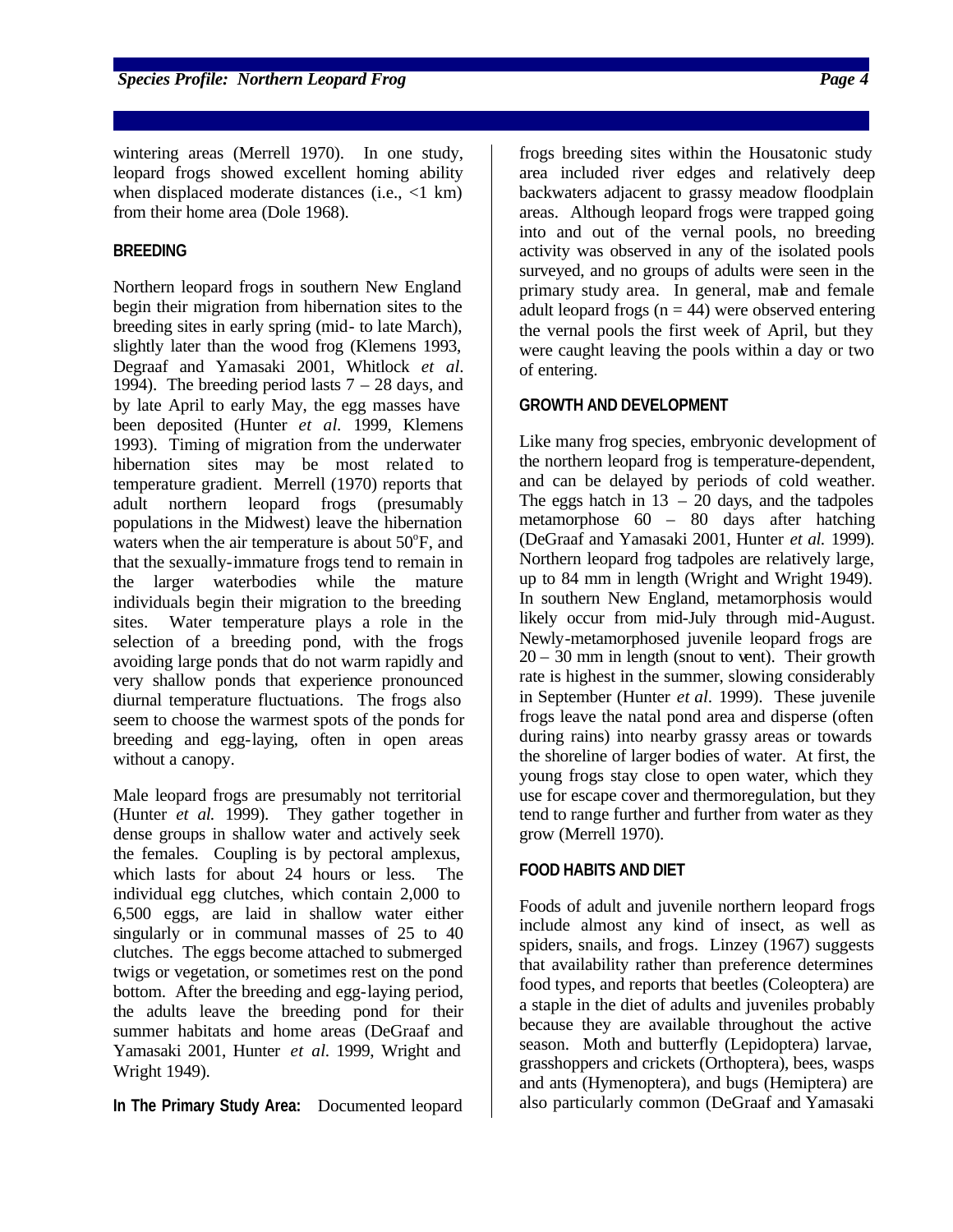**Species Profile: Northern Leopard Frog 44 and 2009 Page 44 and 2009 Page 44 and 2009 Page 44 and 30 and 30 and 40 and 40 and 40 and 40 and 40 and 40 and 40 and 40 and 40 and 40 and 40 and 40 and 40 and 40 and 40 and 40 an** 

wintering areas (Merrell 1970). In one study, leopard frogs showed excellent homing ability when displaced moderate distances (i.e.,  $\langle 1 \text{ km} \rangle$ ) from their home area (Dole 1968).

# **BREEDING**

Northern leopard frogs in southern New England begin their migration from hibernation sites to the breeding sites in early spring (mid- to late March), slightly later than the wood frog (Klemens 1993, Degraaf and Yamasaki 2001, Whitlock *et al.* 1994). The breeding period lasts  $7 - 28$  days, and by late April to early May, the egg masses have been deposited (Hunter *et al.* 1999, Klemens 1993). Timing of migration from the underwater hibernation sites may be most related to temperature gradient. Merrell (1970) reports that adult northern leopard frogs (presumably populations in the Midwest) leave the hibernation waters when the air temperature is about  $50^{\circ}$ F, and that the sexually-immature frogs tend to remain in the larger waterbodies while the mature individuals begin their migration to the breeding sites. Water temperature plays a role in the selection of a breeding pond, with the frogs avoiding large ponds that do not warm rapidly and very shallow ponds that experience pronounced diurnal temperature fluctuations. The frogs also seem to choose the warmest spots of the ponds for breeding and egg-laying, often in open areas without a canopy.

Male leopard frogs are presumably not territorial (Hunter *et al.* 1999). They gather together in dense groups in shallow water and actively seek the females. Coupling is by pectoral amplexus, which lasts for about 24 hours or less. The individual egg clutches, which contain 2,000 to 6,500 eggs, are laid in shallow water either singularly or in communal masses of 25 to 40 clutches. The eggs become attached to submerged twigs or vegetation, or sometimes rest on the pond bottom. After the breeding and egg-laying period, the adults leave the breeding pond for their summer habitats and home areas (DeGraaf and Yamasaki 2001, Hunter *et al.* 1999, Wright and Wright 1949).

**In The Primary Study Area:** Documented leopard

frogs breeding sites within the Housatonic study area included river edges and relatively deep backwaters adjacent to grassy meadow floodplain areas. Although leopard frogs were trapped going into and out of the vernal pools, no breeding activity was observed in any of the isolated pools surveyed, and no groups of adults were seen in the primary study area. In general, male and female adult leopard frogs ( $n = 44$ ) were observed entering the vernal pools the first week of April, but they were caught leaving the pools within a day or two of entering.

# **GROWTH AND DEVELOPMENT**

Like many frog species, embryonic development of the northern leopard frog is temperature-dependent, and can be delayed by periods of cold weather. The eggs hatch in  $13 - 20$  days, and the tadpoles metamorphose 60 – 80 days after hatching (DeGraaf and Yamasaki 2001, Hunter *et al.* 1999). Northern leopard frog tadpoles are relatively large, up to 84 mm in length (Wright and Wright 1949). In southern New England, metamorphosis would likely occur from mid-July through mid-August. Newly-metamorphosed juvenile leopard frogs are  $20 - 30$  mm in length (snout to vent). Their growth rate is highest in the summer, slowing considerably in September (Hunter *et al.* 1999). These juvenile frogs leave the natal pond area and disperse (often during rains) into nearby grassy areas or towards the shoreline of larger bodies of water. At first, the young frogs stay close to open water, which they use for escape cover and thermoregulation, but they tend to range further and further from water as they grow (Merrell 1970).

## **FOOD HABITS AND DIET**

Foods of adult and juvenile northern leopard frogs include almost any kind of insect, as well as spiders, snails, and frogs. Linzey (1967) suggests that availability rather than preference determines food types, and reports that beetles (Coleoptera) are a staple in the diet of adults and juveniles probably because they are available throughout the active season. Moth and butterfly (Lepidoptera) larvae, grasshoppers and crickets (Orthoptera), bees, wasps and ants (Hymenoptera), and bugs (Hemiptera) are also particularly common (DeGraaf and Yamasaki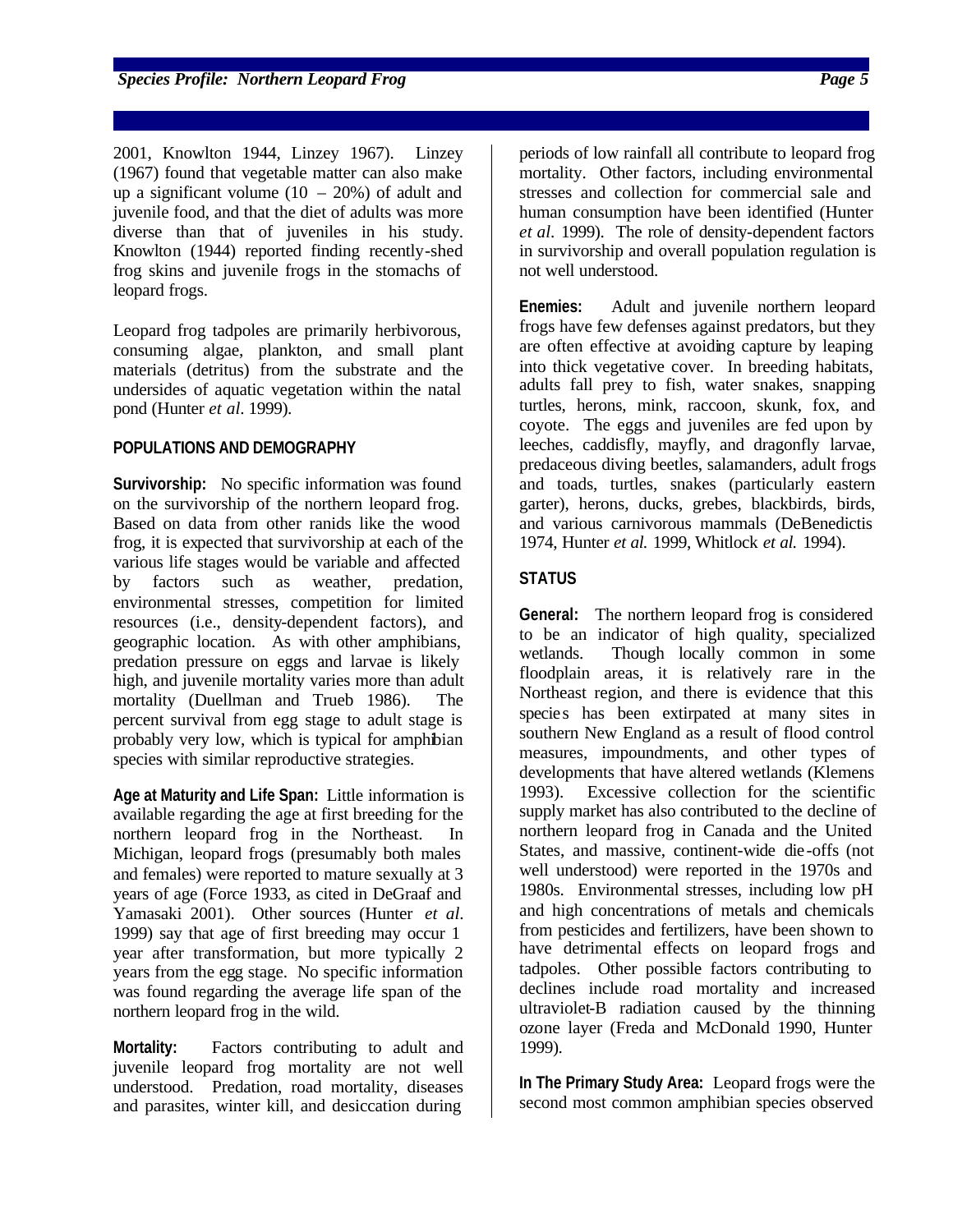2001, Knowlton 1944, Linzey 1967). Linzey (1967) found that vegetable matter can also make up a significant volume  $(10 - 20\%)$  of adult and juvenile food, and that the diet of adults was more diverse than that of juveniles in his study. Knowlton (1944) reported finding recently-shed frog skins and juvenile frogs in the stomachs of leopard frogs.

Leopard frog tadpoles are primarily herbivorous, consuming algae, plankton, and small plant materials (detritus) from the substrate and the undersides of aquatic vegetation within the natal pond (Hunter *et al.* 1999).

## **POPULATIONS AND DEMOGRAPHY**

**Survivorship:** No specific information was found on the survivorship of the northern leopard frog. Based on data from other ranids like the wood frog, it is expected that survivorship at each of the various life stages would be variable and affected by factors such as weather, predation, environmental stresses, competition for limited resources (i.e., density-dependent factors), and geographic location. As with other amphibians, predation pressure on eggs and larvae is likely high, and juvenile mortality varies more than adult mortality (Duellman and Trueb 1986). The percent survival from egg stage to adult stage is probably very low, which is typical for amphibian species with similar reproductive strategies.

**Age at Maturity and Life Span:** Little information is available regarding the age at first breeding for the northern leopard frog in the Northeast. In Michigan, leopard frogs (presumably both males and females) were reported to mature sexually at 3 years of age (Force 1933, as cited in DeGraaf and Yamasaki 2001). Other sources (Hunter *et al.* 1999) say that age of first breeding may occur 1 year after transformation, but more typically 2 years from the egg stage. No specific information was found regarding the average life span of the northern leopard frog in the wild.

**Mortality:** Factors contributing to adult and juvenile leopard frog mortality are not well understood. Predation, road mortality, diseases and parasites, winter kill, and desiccation during

periods of low rainfall all contribute to leopard frog mortality. Other factors, including environmental stresses and collection for commercial sale and human consumption have been identified (Hunter *et al.* 1999). The role of density-dependent factors in survivorship and overall population regulation is not well understood.

**Enemies:** Adult and juvenile northern leopard frogs have few defenses against predators, but they are often effective at avoiding capture by leaping into thick vegetative cover. In breeding habitats, adults fall prey to fish, water snakes, snapping turtles, herons, mink, raccoon, skunk, fox, and coyote. The eggs and juveniles are fed upon by leeches, caddisfly, mayfly, and dragonfly larvae, predaceous diving beetles, salamanders, adult frogs and toads, turtles, snakes (particularly eastern garter), herons, ducks, grebes, blackbirds, birds, and various carnivorous mammals (DeBenedictis 1974, Hunter *et al.* 1999, Whitlock *et al.* 1994).

# **STATUS**

**General:** The northern leopard frog is considered to be an indicator of high quality, specialized wetlands. Though locally common in some floodplain areas, it is relatively rare in the Northeast region, and there is evidence that this species has been extirpated at many sites in southern New England as a result of flood control measures, impoundments, and other types of developments that have altered wetlands (Klemens 1993). Excessive collection for the scientific supply market has also contributed to the decline of northern leopard frog in Canada and the United States, and massive, continent-wide die-offs (not well understood) were reported in the 1970s and 1980s. Environmental stresses, including low pH and high concentrations of metals and chemicals from pesticides and fertilizers, have been shown to have detrimental effects on leopard frogs and tadpoles. Other possible factors contributing to declines include road mortality and increased ultraviolet-B radiation caused by the thinning ozone layer (Freda and McDonald 1990, Hunter 1999).

**In The Primary Study Area:** Leopard frogs were the second most common amphibian species observed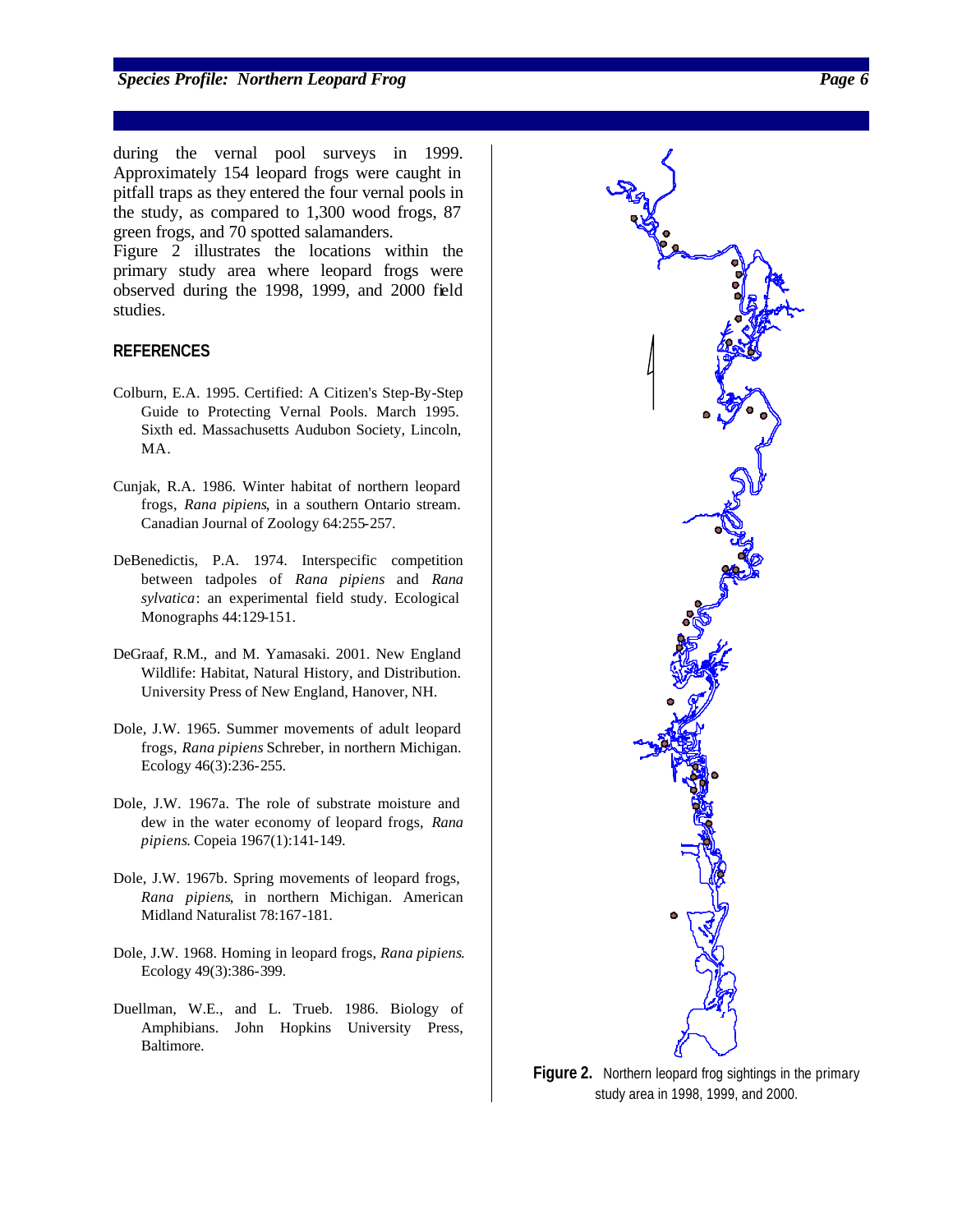**Species Profile: Northern Leopard Frog** *Page Page Page Page Page Page Page Page Page Page Page Page Page Page Page Page Page Page Page Page Page Page Page Page Page Page* 

during the vernal pool surveys in 1999. Approximately 154 leopard frogs were caught in pitfall traps as they entered the four vernal pools in the study, as compared to 1,300 wood frogs, 87 green frogs, and 70 spotted salamanders.

Figure 2 illustrates the locations within the primary study area where leopard frogs were observed during the 1998, 1999, and 2000 field studies.

#### **REFERENCES**

- Colburn, E.A. 1995. Certified: A Citizen's Step-By-Step Guide to Protecting Vernal Pools. March 1995. Sixth ed. Massachusetts Audubon Society, Lincoln, MA.
- Cunjak, R.A. 1986. Winter habitat of northern leopard frogs, *Rana pipiens*, in a southern Ontario stream. Canadian Journal of Zoology 64:255-257.
- DeBenedictis, P.A. 1974. Interspecific competition between tadpoles of *Rana pipiens* and *Rana sylvatica*: an experimental field study. Ecological Monographs 44:129-151.
- DeGraaf, R.M., and M. Yamasaki. 2001. New England Wildlife: Habitat, Natural History, and Distribution. University Press of New England, Hanover, NH.
- Dole, J.W. 1965. Summer movements of adult leopard frogs, *Rana pipiens* Schreber, in northern Michigan. Ecology 46(3):236-255.
- Dole, J.W. 1967a. The role of substrate moisture and dew in the water economy of leopard frogs, *Rana pipiens*. Copeia 1967(1):141-149.
- Dole, J.W. 1967b. Spring movements of leopard frogs, *Rana pipiens*, in northern Michigan. American Midland Naturalist 78:167-181.
- Dole, J.W. 1968. Homing in leopard frogs, *Rana pipiens*. Ecology 49(3):386-399.
- Duellman, W.E., and L. Trueb. 1986. Biology of Amphibians. John Hopkins University Press, Baltimore.

![](_page_5_Figure_13.jpeg)

**Figure 2.** Northern leopard frog sightings in the primary study area in 1998, 1999, and 2000.